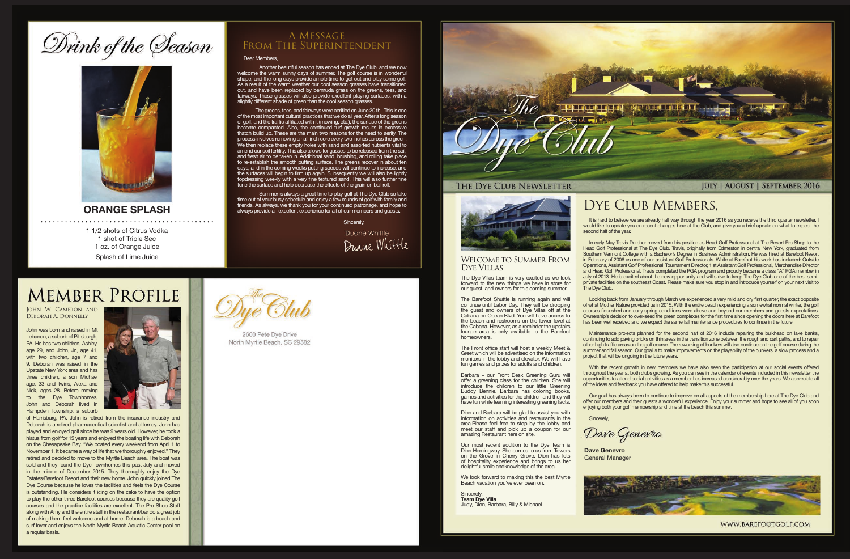# Drink of the Season



## **ORANGE SPLASH**

1 1/2 shots of Citrus Vodka 1 shot of Triple Sec 1 oz. of Orange Juice Splash of Lime Juice

### Dear Members,

 Another beautiful season has ended at The Dye Club, and we now welcome the warm sunny days of summer. The golf course is in wonderful shape, and the long days provide ample time to get out and play some golf. As a result of the warm weather our cool season grasses have transitioned out, and have been replaced by bermuda grass on the greens, tees, and fairways. These grasses will also provide excellent playing surfaces, with a slightly different shade of green than the cool season grasses.

> It is hard to believe we are already half way through the year 2016 as you receive the third quarter newsletter. I would like to update you on recent changes here at the Club, and give you a brief update on what to expect the second half of the year.

Dave Genevro

 The greens, tees, and fairways were aerified on June 20 th . This is one of the most important cultural practices that we do all year. After a long season of golf, and the traffic affiliated with it (mowing, etc.), the surface of the greens become compacted. Also, the continued turf growth results in excessive thatch build up. These are the main two reasons for the need to aerify. The process involves removing a half inch core every two inches across the green. We then replace these empty holes with sand and assorted nutrients vital to amend our soil fertility. This also allows for gasses to be released from the soil, and fresh air to be taken in. Additional sand, brushing, and rolling take place to re-establish the smooth putting surface. The greens recover in about ten days, and in the coming weeks putting speeds will continue to increase, and the surfaces will begin to firm up again. Subsequently we will also be lightly topdressing weekly with a very fine textured sand. This will also further fine tune the surface and help decrease the effects of the grain on ball roll.

 Summer is always a great time to play golf at The Dye Club so take time out of your busy schedule and enjoy a few rounds of golf with family and friends. As always, we thank you for your continued patronage, and hope to always provide an excellent experience for all of our members and guests.

Sincerely,

Duane Whittle Duane Whittle

## **MEMBER PROFILE**

## A Message From The Superintendent

In early May Travis Dutcher moved from his position as Head Golf Professional at The Resort Pro Shop to the Head Golf Professional at The Dye Club. Travis, originally from Edmeston in central New York, graduated from Southern Vermont College with a Bachelor's Degree in Business Administration. He was hired at Barefoot Resort in February of 2006 as one of our assistant Golf Professionals. While at Barefoot his work has included: Outside Operations, Assistant Golf Professional, Tournament Director, 1 st Assistant Golf Professional, Merchandise Director and Head Golf Professional. Travis completed the PGA program and proudly became a class "A" PGA member in July of 2013. He is excited about the new opportunity and will strive to keep The Dye Club one of the best semiprivate facilities on the southeast Coast. Please make sure you stop in and introduce yourself on your next visit to The Dye Club.

Looking back from January through March we experienced a very mild and dry first quarter, the exact opposite of what Mother Nature provided us in 2015. With the entire beach experiencing a somewhat normal winter, the golf courses flourished and early spring conditions were above and beyond our members and guests expectations. Ownership's decision to over-seed the green complexes for the first time since opening the doors here at Barefoot has been well received and we expect the same fall maintenance procedures to continue in the future.

Maintenance projects planned for the second half of 2016 include repairing the bulkhead on lake banks, continuing to add paving bricks on thin areas in the transition zone between the rough and cart paths, and to repair other high traffic areas on the golf course. The reworking of bunkers will also continue on the golf course during the summer and fall season. Our goal is to make improvements on the playability of the bunkers, a slow process and a project that will be ongoing in the future years.

With the recent growth in new members we have also seen the participation at our social events offered throughout the year at both clubs growing. As you can see in the calendar of events included in this newsletter the opportunities to attend social activities as a member has increased considerably over the years. We appreciate all of the ideas and feedback you have offered to help make this successful.

Our goal has always been to continue to improve on all aspects of the membership here at The Dye Club and offer our members and their guests a wonderful experience. Enjoy your summer and hope to see all of you soon enjoying both your golf membership and time at the beach this summer.

**Sincerely** 

**Dave Genevro**



## DYE CLUB MEMBERS,

General Manager



WWW.BAREFOOTGOLF.COM

### Welcome to Summer From Dye Villas

The Dye Villas team is very excited as we look forward to the new things we have in store for our guest and owners for this coming summer.

The Barefoot Shuttle is running again and will continue until Labor Day. They will be dropping the guest and owners of Dye Villas off at the Cabana on Ocean Blvd. You will have access to the beach and restrooms on the lower level at the Cabana. However, as a reminder the upstairs lounge area is only available to the Barefoot homeowners.

The Front office staff will host a weekly Meet & Greet which will be advertised on the information monitors in the lobby and elevator. We will have fun games and prizes for adults and children.

Barbara – our Front Desk Greening Guru will offer a greening class for the children. She will introduce the children to our little Greening Buddy Bennie. Barbara has coloring books, games and activities for the children and they will have fun while learning interesting greening facts.

Dion and Barbara will be glad to assist you with information on activities and restaurants in the area.Please feel free to stop by the lobby and meet our staff and pick up a coupon for our amazing Restaurant here on site.

Our most recent addition to the Dye Team is Dion Hemingway. She comes to us from Towers on the Grove in Cherry Grove. Dion has lots of hospitality experience and brings to us her delightful smile andknowledge of the area.

We look forward to making this the best Myrtle Beach vacation you've ever been on.

Sincerely, **Team Dye Villa** Judy, Dion, Barbara, Billy & Michael

John W. Cameron and Deborah A. Donnelly

John was born and raised in Mt Lebanon, a suburb of Pittsburgh, PA. He has two children, Ashley, age 29, and John, Jr., age 41, with two children, age 7 and 9. Deborah was raised in the Upstate New York area and has three children, a son Michael age, 33 and twins, Alexa and Nick, ages 28. Before moving to the Dye Townhomes, John and Deborah lived in Hampden Township, a suburb



of Harrisburg, PA. John is retired from the insurance industry and Deborah is a retired pharmaceutical scientist and attorney. John has played and enjoyed golf since he was 9 years old. However, he took a hiatus from golf for 15 years and enjoyed the boating life with Deborah on the Chesapeake Bay. "We boated every weekend from April 1 to November 1. It became a way of life that we thoroughly enjoyed." They retired and decided to move to the Myrtle Beach area. The boat was sold and they found the Dye Townhomes this past July and moved in the middle of December 2015. They thoroughly enjoy the Dye Estates/Barefoot Resort and their new home. John quickly joined The Dye Course because he loves the facilities and feels the Dye Course is outstanding. He considers it icing on the cake to have the option to play the other three Barefoot courses because they are quality golf courses and the practice facilities are excellent. The Pro Shop Staff along with Amy and the entire staff in the restaurant/bar do a great job of making them feel welcome and at home. Deborah is a beach and surf lover and enjoys the North Myrtle Beach Aquatic Center pool on a regular basis.



2600 Pete Dye Drive North Myrtle Beach, SC 29582